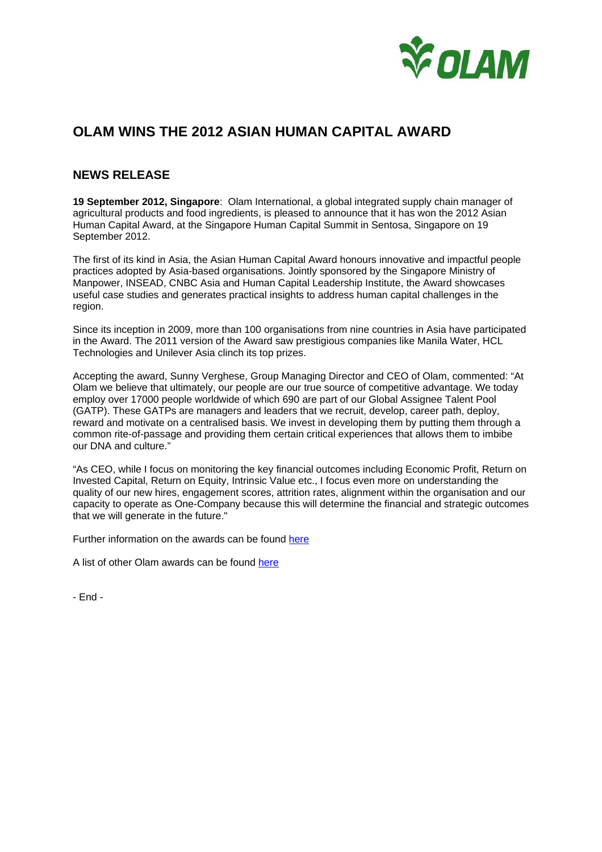

# **OLAM WINS THE 2012 ASIAN HUMAN CAPITAL AWARD**

# **NEWS RELEASE**

**19 September 2012, Singapore**: Olam International, a global integrated supply chain manager of agricultural products and food ingredients, is pleased to announce that it has won the 2012 Asian Human Capital Award, at the Singapore Human Capital Summit in Sentosa, Singapore on 19 September 2012.

The first of its kind in Asia, the Asian Human Capital Award honours innovative and impactful people practices adopted by Asia-based organisations. Jointly sponsored by the Singapore Ministry of Manpower, INSEAD, CNBC Asia and Human Capital Leadership Institute, the Award showcases useful case studies and generates practical insights to address human capital challenges in the region.

Since its inception in 2009, more than 100 organisations from nine countries in Asia have participated in the Award. The 2011 version of the Award saw prestigious companies like Manila Water, HCL Technologies and Unilever Asia clinch its top prizes.

Accepting the award, Sunny Verghese, Group Managing Director and CEO of Olam, commented: "At Olam we believe that ultimately, our people are our true source of competitive advantage. We today employ over 17000 people worldwide of which 690 are part of our Global Assignee Talent Pool (GATP). These GATPs are managers and leaders that we recruit, develop, career path, deploy, reward and motivate on a centralised basis. We invest in developing them by putting them through a common rite-of-passage and providing them certain critical experiences that allows them to imbibe our DNA and culture."

"As CEO, while I focus on monitoring the key financial outcomes including Economic Profit, Return on Invested Capital, Return on Equity, Intrinsic Value etc., I focus even more on understanding the quality of our new hires, engagement scores, attrition rates, alignment within the organisation and our capacity to operate as One-Company because this will determine the financial and strategic outcomes that we will generate in the future."

Further information on the awards can be found here

A list of other Olam awards can be found here

- End -